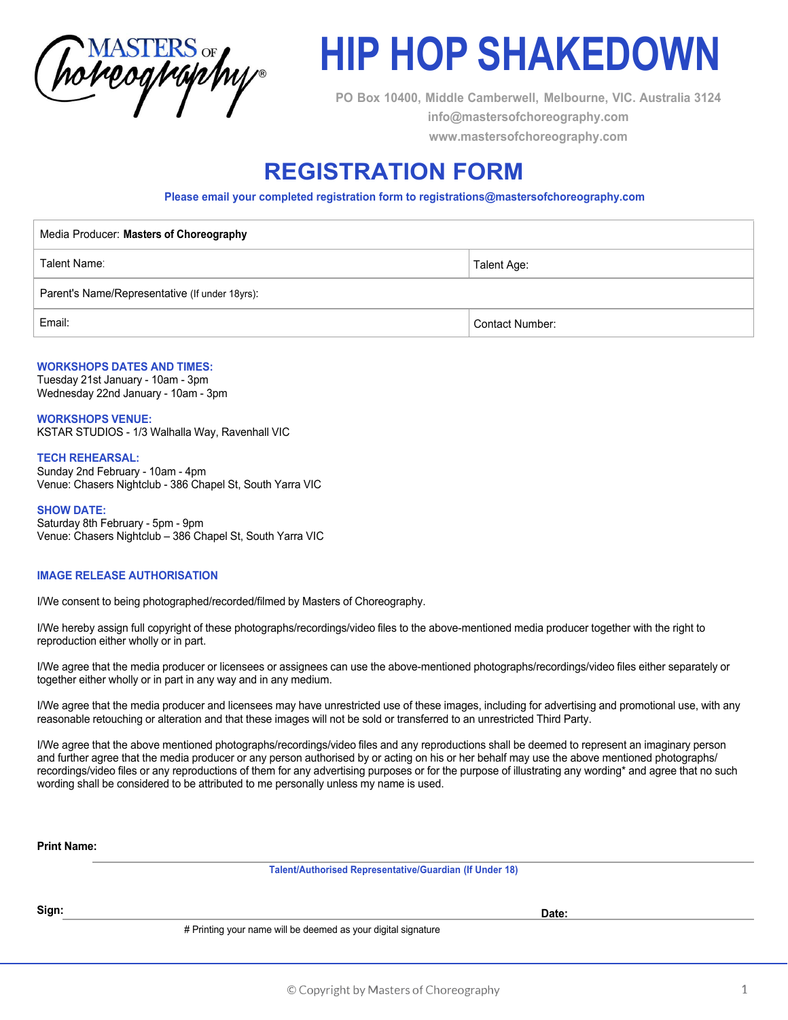

# **HIP HOP SHAKEDOWN**

**PO Box 10400, Middle Camberwell, Melbourne, VIC. Australia 3124 info@mastersofchoreography.com www.mastersofchoreography.com** 

# **REGISTRATION FORM**

**Please email your completed registration form to registrations@mastersofchoreography.com**

| Media Producer: Masters of Choreography        |                 |
|------------------------------------------------|-----------------|
| Talent Name:                                   | Talent Age:     |
| Parent's Name/Representative (If under 18yrs): |                 |
| Email:                                         | Contact Number: |
|                                                |                 |

### **WORKSHOPS DATES AND TIMES:**

Tuesday 21st January - 10am - 3pm Wednesday 22nd January - 10am - 3pm

## **WORKSHOPS VENUE:**

KSTAR STUDIOS - 1/3 Walhalla Way, Ravenhall VIC

#### **TECH REHEARSAL:**

Sunday 2nd February - 10am - 4pm Venue: Chasers Nightclub - 386 Chapel St, South Yarra VIC

**SHOW DATE:** Saturday 8th February - 5pm - 9pm Venue: Chasers Nightclub – 386 Chapel St, South Yarra VIC

#### **IMAGE RELEASE AUTHORISATION**

I/We consent to being photographed/recorded/filmed by Masters of Choreography.

I/We hereby assign full copyright of these photographs/recordings/video files to the above-mentioned media producer together with the right to reproduction either wholly or in part.

I/We agree that the media producer or licensees or assignees can use the above-mentioned photographs/recordings/video files either separately or together either wholly or in part in any way and in any medium.

I/We agree that the media producer and licensees may have unrestricted use of these images, including for advertising and promotional use, with any reasonable retouching or alteration and that these images will not be sold or transferred to an unrestricted Third Party.

I/We agree that the above mentioned photographs/recordings/video files and any reproductions shall be deemed to represent an imaginary person and further agree that the media producer or any person authorised by or acting on his or her behalf may use the above mentioned photographs/ recordings/video files or any reproductions of them for any advertising purposes or for the purpose of illustrating any wording\* and agree that no such wording shall be considered to be attributed to me personally unless my name is used.

**Print Name:**

**Talent/Authorised Representative/Guardian (If Under 18)**

**Sign: Date:**

# Printing your name will be deemed as your digital signature